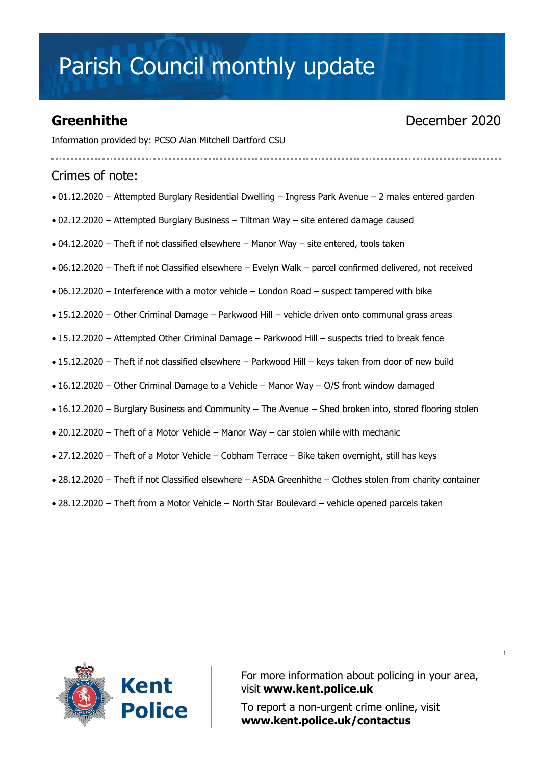## Parish Council monthly update

### **Greenhithe** December 2020

Information provided by: PCSO Alan Mitchell Dartford CSU

Crimes of note:

- 01.12.2020 Attempted Burglary Residential Dwelling Ingress Park Avenue 2 males entered garden
- 02.12.2020 Attempted Burglary Business Tiltman Way site entered damage caused
- $\bullet$  04.12.2020 Theft if not classified elsewhere Manor Way site entered, tools taken
- 06.12.2020 Theft if not Classified elsewhere Evelyn Walk parcel confirmed delivered, not received
- 06.12.2020 Interference with a motor vehicle London Road suspect tampered with bike
- 15.12.2020 Other Criminal Damage Parkwood Hill vehicle driven onto communal grass areas
- 15.12.2020 Attempted Other Criminal Damage Parkwood Hill suspects tried to break fence
- 15.12.2020 Theft if not classified elsewhere Parkwood Hill keys taken from door of new build
- 16.12.2020 Other Criminal Damage to a Vehicle Manor Way O/S front window damaged
- 16.12.2020 Burglary Business and Community The Avenue Shed broken into, stored flooring stolen
- 20.12.2020 Theft of a Motor Vehicle Manor Way car stolen while with mechanic
- 27.12.2020 Theft of a Motor Vehicle Cobham Terrace Bike taken overnight, still has keys
- 28.12.2020 Theft if not Classified elsewhere ASDA Greenhithe Clothes stolen from charity container
- 28.12.2020 Theft from a Motor Vehicle North Star Boulevard vehicle opened parcels taken



For more information about policing in your area, visit **[www.kent.police.uk](http://www.kent.police.uk/)**

To report a non-urgent crime online, visit **www.kent.police.uk/contactus**